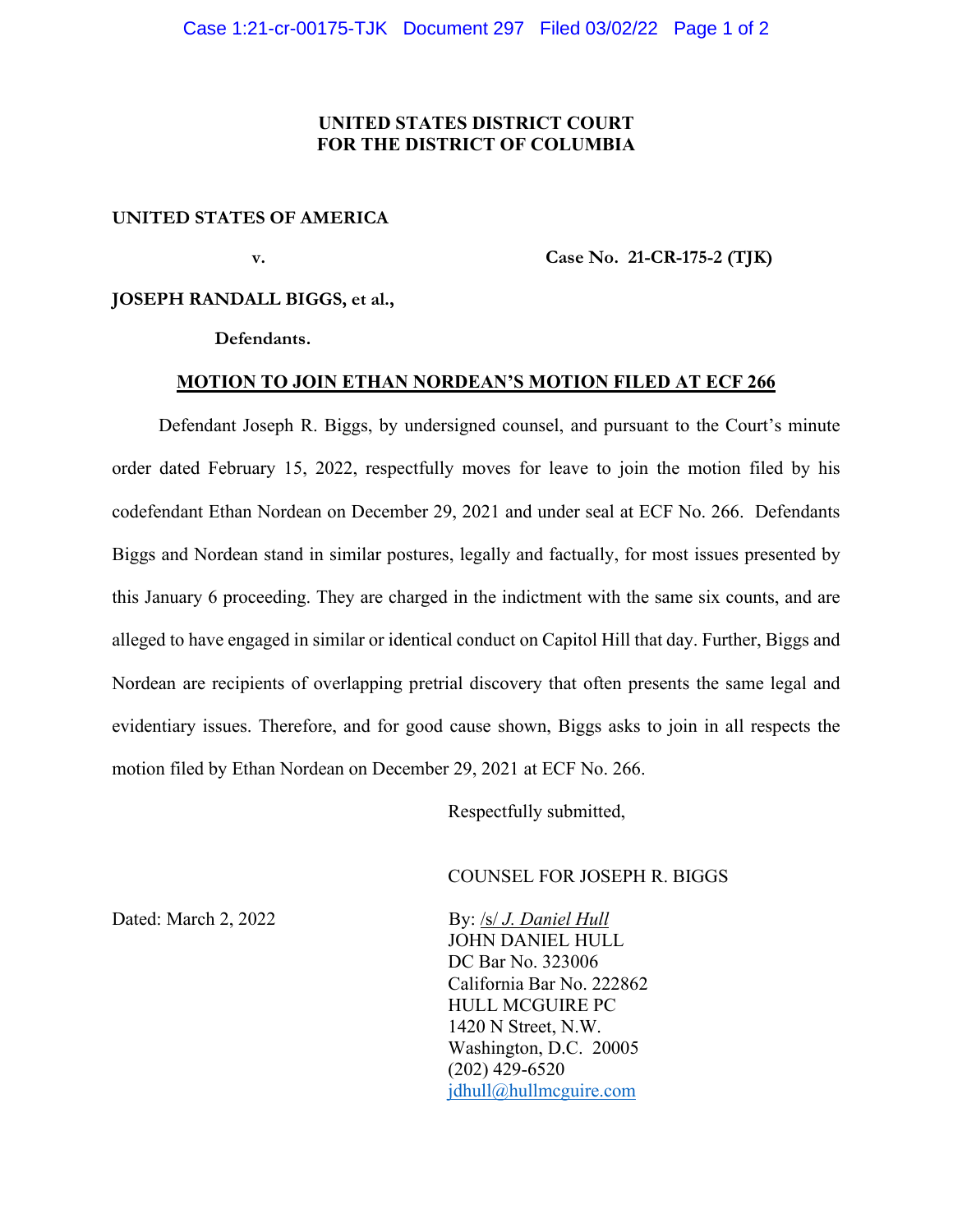## **UNITED STATES DISTRICT COURT FOR THE DISTRICT OF COLUMBIA**

## **UNITED STATES OF AMERICA**

 **v. Case No. 21-CR-175-2 (TJK)** 

## **JOSEPH RANDALL BIGGS, et al.,**

 **Defendants.** 

#### **MOTION TO JOIN ETHAN NORDEAN'S MOTION FILED AT ECF 266**

 Defendant Joseph R. Biggs, by undersigned counsel, and pursuant to the Court's minute order dated February 15, 2022, respectfully moves for leave to join the motion filed by his codefendant Ethan Nordean on December 29, 2021 and under seal at ECF No. 266. Defendants Biggs and Nordean stand in similar postures, legally and factually, for most issues presented by this January 6 proceeding. They are charged in the indictment with the same six counts, and are alleged to have engaged in similar or identical conduct on Capitol Hill that day. Further, Biggs and Nordean are recipients of overlapping pretrial discovery that often presents the same legal and evidentiary issues. Therefore, and for good cause shown, Biggs asks to join in all respects the motion filed by Ethan Nordean on December 29, 2021 at ECF No. 266.

Respectfully submitted,

## COUNSEL FOR JOSEPH R. BIGGS

Dated: March 2, 2022 **By: /s/** *J. Daniel Hull*  JOHN DANIEL HULL DC Bar No. 323006 California Bar No. 222862 HULL MCGUIRE PC 1420 N Street, N.W. Washington, D.C. 20005 (202) 429-6520 jdhull@hullmcguire.com